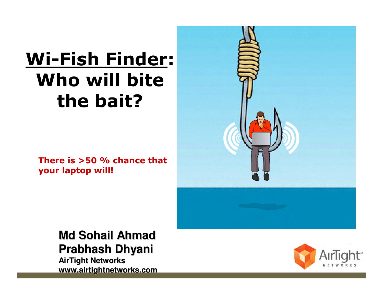## **Wi-Fish Finder: Who will bite the bait?**

**There is >50 % chance that your laptop will!**



**Md Sohail AhmadPrabhash Dhyani**

**AirTight Networkswww.airtightnetworks.com**

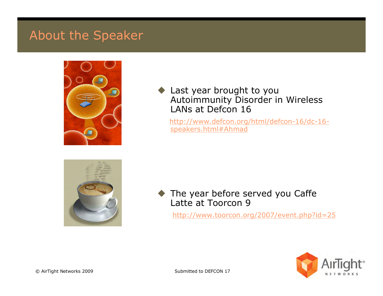#### About the Speaker



#### $\blacklozenge$  Last year brought to you Autoimmunity Disorder in Wireless LANs at Defcon <sup>16</sup>

http://www.defcon.org/html/defcon-16/dc-16speakers.html#Ahmad



 $\blacklozenge$  The year before served you Caffe Latte at Toorcon <sup>9</sup>

http://www.toorcon.org/2007/event.php?id=25

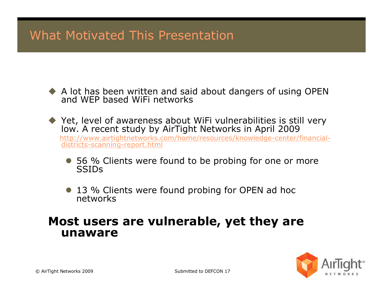### What Motivated This Presentation

- A lot has been written and said about dangers of using OPEN and WEP based WiFi networks
- ◆ Yet, level of awareness about WiFi vulnerabilities is still very low. A recent study by AirTight Networks in April 2009 http://www.airtightnetworks.com/home/resources/knowledge-center/financial districts-scanning-report.html
	- 56 % Clients were found to be probing for one or more<br>SSIDs **SSIDs**
	- 13 % Clients were found probing for OPEN ad hoc<br>networks

#### **Most users are vulnerable, yet they are unaware**

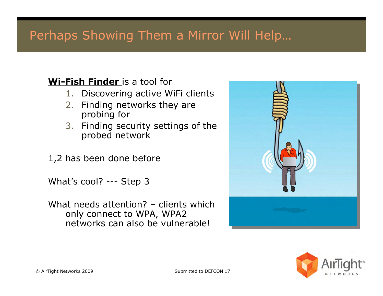#### Perhaps Showing Them a Mirror Will Help…

#### **Wi-Fish Finder** is a tool for

- 1. Discovering active WiFi clients
- 2. Finding networks they are probing for
- 3. Finding security settings of the probed network
- 1,2 has been done before

What's cool? --- Step 3

What needs attention? – clients which only connect to WPA, WPA2 networks can also be vulnerable!



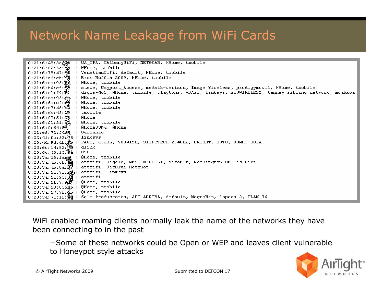### Network Name Leakage from WiFi Cards

UA WPA, UAlbanyWiFi, NETGEAR, @Home, tmobile  $0:21:6:48:3a$ . \$98 @Home, tmobile  $0:21:6:62:5c:84$ VenetianWiFi, default, @Home, tmobile  $0:21:6:78:47:3E$ -11  $0:21:6:ab:cb:\mathbb{N}$ | Bran Muffin 2009, @Home, tmobile  $0:21:6:aa:95:\mathbb{R}$ f | @Home, tmobile steve, Wayport Access, mednik-verizon, Image Wireless, prodigymovil, @Home, tmobile  $0:21:6:64:cf:\n$ digis-465, @Home, tmobile, claytons, VDAPL, linksys, AISWIRELESS, tenney sibling network, moabkoa  $0:21:6:$ cl:f9: $\mathbb{S}1$  $\mathbf{I}$  $0:21:6:ca:95:da$  $\blacksquare$ @Home, tmobile  $0:21:6:$  dc: cf: $\ddot{\mathbb{Z}}$ @Home, tmobile @Home, tmobile  $0:21:6:e3:48:$  $\mathbf{I}$  $0:21:6:eb:45:49$ l tmobile  $0:21:6:10:51:22$  | @Home  $0:21:6:11:31:82$ @Home, tmobile | @Home33D4, @Home  $0:21:6:1:64:36$ 0:21:e9:72:f4 $\frac{24}{3}$ Garbanzo -1  $0:22:41:$ fc:53: $\frac{5}{18}$  | linksys 0:23:4d:9d:db@@p | PAGE, etada, YOUWISH, 911PCTECH-2.4GHz, BRIGHT, GGTO, GGNH, GGLA 0:23:6c:14:92:鱗l dlink 0:23:6c:43:15:40 | B20 0:23:7a:26:lage | @Home, tmobile 0:23:7a:4b:6b:殲 | attwifi, Regele, WESTIN-GUEST, default, Washington Dulles WiFi  $0:23:7a:4b:8a:\$ attwifi, JetBlue Hotspot  $0:23:7a:51:71:2$ attwifi, linksys  $0:23:7a:51:95:34$ attwifi  $0:23:7a:5f:7:9.2$  | @Home, tmobile  $0:23:7a:60:85:46$  | @Home, tmobile  $0:23:7a:67:7f:\mathbb{Z}p \perp \mathbb{G}$ Home, tmobile 0:23:7a:71:12:鬚 | Sala\_Productores, JET-ARRIBA, default, NegroNet, lapccs-2, WLAN\_74

WiFi enabled roaming clients normally leak the name of the networks they have been connecting to in the past

−Some of these networks could be Open or WEP and leaves client vulnerable to Honeypot style attacks

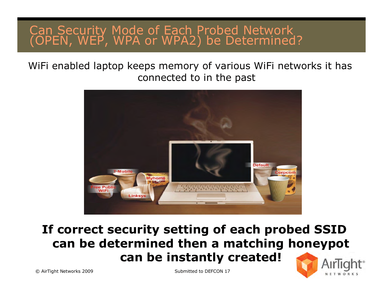# Can Security Mode of Each Probed Network (OPEN, WEP, WPA or WPA2) be Determined?

WiFi enabled laptop keeps memory of various WiFi networks it hasconnected to in the past



#### **If correct security setting of each probed SSID can be determined then a matching honeypotcan be instantly created!**

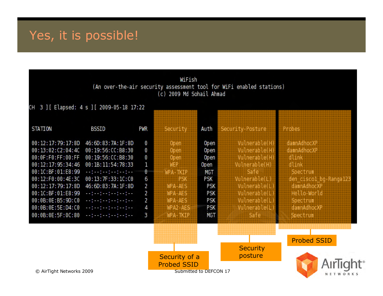### Yes, it is possible!

|                                                                                                                                                                                                                                     |                                                                                                                                                                                                                                                                                                                                                                                                                                                                                                                                                                                                                                                                                                                                                                                                                                                                                                                                                                                                                                                                                                                                                                                             |                                                     | WiFish<br>(c) 2009 Md Sohail Ahmad                                                                                                                                            |                                                                                                    | (An over-the-air security assessment tool for WiFi enabled stations)                                                                                                                                                                                                                                                  |                                                                                                                                                                                                                 |
|-------------------------------------------------------------------------------------------------------------------------------------------------------------------------------------------------------------------------------------|---------------------------------------------------------------------------------------------------------------------------------------------------------------------------------------------------------------------------------------------------------------------------------------------------------------------------------------------------------------------------------------------------------------------------------------------------------------------------------------------------------------------------------------------------------------------------------------------------------------------------------------------------------------------------------------------------------------------------------------------------------------------------------------------------------------------------------------------------------------------------------------------------------------------------------------------------------------------------------------------------------------------------------------------------------------------------------------------------------------------------------------------------------------------------------------------|-----------------------------------------------------|-------------------------------------------------------------------------------------------------------------------------------------------------------------------------------|----------------------------------------------------------------------------------------------------|-----------------------------------------------------------------------------------------------------------------------------------------------------------------------------------------------------------------------------------------------------------------------------------------------------------------------|-----------------------------------------------------------------------------------------------------------------------------------------------------------------------------------------------------------------|
| CH 3 ] [ Elapsed: 4 s ] [ 2009-05-18 17:22                                                                                                                                                                                          |                                                                                                                                                                                                                                                                                                                                                                                                                                                                                                                                                                                                                                                                                                                                                                                                                                                                                                                                                                                                                                                                                                                                                                                             |                                                     |                                                                                                                                                                               |                                                                                                    |                                                                                                                                                                                                                                                                                                                       |                                                                                                                                                                                                                 |
| STATION                                                                                                                                                                                                                             | BSSID                                                                                                                                                                                                                                                                                                                                                                                                                                                                                                                                                                                                                                                                                                                                                                                                                                                                                                                                                                                                                                                                                                                                                                                       | PWR                                                 | Security                                                                                                                                                                      | Auth                                                                                               | Security-Posture                                                                                                                                                                                                                                                                                                      | <b>Probes</b>                                                                                                                                                                                                   |
| 00:12:17:79:17:8D<br>00:13:02:C2:04:4C<br>00:0F:F0:FF:00:FF<br>00:12:17:95:34:46<br>00:1C:BF:01:E8:99<br>00:12:F0:00:4E:3C<br>00:12:17:79:17:8D<br>00:1C:BF:01:E8:99<br>00:0B:0E:B5:9D:C0<br>00:0B:0E:5E:D4:C0<br>00:0B:0E:5F:0C:80 | 46:6D:83:7A:1F:8D<br>00:19:56:CC:B8:30<br>00:19:56:CC:B8:30<br>00:1B:11:54:78:33<br>$\begin{aligned} \mathcal{L}^{\alpha} & = \frac{1}{2} \left( \mathcal{L}^{\alpha} + \frac{1}{2} \mathcal{L}^{\alpha} + \frac{1}{2} \mathcal{L}^{\alpha} + \frac{1}{2} \mathcal{L}^{\alpha} + \frac{1}{2} \mathcal{L}^{\alpha} + \frac{1}{2} \mathcal{L}^{\alpha} \right) \end{aligned}$<br>00:13:7F:33:1C:00<br>46:6D:83:7A:1F:8D<br>--:-----------<br>$\frac{1}{2} \left( \frac{1}{2} \left( \frac{1}{2} - \frac{1}{2} \right) \left( \frac{1}{2} - \frac{1}{2} \right) \left( \frac{1}{2} - \frac{1}{2} \right) \right) + \frac{1}{2} \left( \frac{1}{2} - \frac{1}{2} \right)$<br>$\label{eq:reduced} \mathcal{L} = \left\{ \begin{array}{ll} \mathcal{L} = \left\{ \begin{array}{ll} 0 & \text{if} \quad \mathcal{L} = \left\{ \begin{array}{ll} 0 & \text{if} \quad \mathcal{L} = \left\{ \begin{array}{ll} 0 & \text{if} \quad \mathcal{L} = \left\{ \begin{array}{ll} 0 & \text{if} \quad \mathcal{L} = \left\{ \begin{array}{ll} 0 & \text{if} \quad \mathcal{L} = \left\{ \begin{array}{ll} 0 & \text{if} \quad \mathcal{L} = \left\{ \begin{array}{ll} 0 & \text{if}$<br>医阴茎的 医血管的 医血管的 医血管细胞 | 0<br>0<br>0<br>1<br>0<br>6<br>2<br>2<br>2<br>4<br>З | Open<br>Open<br>Open<br>MER<br><b>IVEXEETKER</b><br><b>The K</b><br><b>THE REAL PROPERTY</b><br><b>THE PART IS A</b><br><b>WEALAES</b><br><b>WPA2-AES</b><br><b>NEAL TKIR</b> | <b>Open</b><br>Open<br>Open<br>0pen<br><b>MGT</b><br>PSK<br>PSK<br>PSK<br>PSK<br>PSK<br><b>MGT</b> | <b>Minarhierry</b><br>Williamien<br><b>KUITEE KARRIIKKO KARRIIKKO KARRIIKKO KARRIIKKO KARRIIKKO KARRIIKKO KARRIIKKO KARRIIKKO KARRIIKKO KARRIIKKO KA</b><br><b>Vulnerable(H)</b><br><b>TARRY SE</b><br><b>Volnerable(U)</b><br>Witherable (U)<br>Winaratian<br>Witherabitatly<br><b>Volnerabielus</b><br><b>Saffe</b> | <b>dammAdhoexP</b><br>damnAdhooXP<br>sa ta Bibba asa<br>Malaman ka<br>diame<br><b>K. NEWSTAPH</b><br>den ciscol bq-Rangal23<br>damnAdhocXP<br>Halloenardd<br><b>Specifium</b><br>damnAdhocXP<br><b>Spectrum</b> |
| © AirTight Networks 2009                                                                                                                                                                                                            |                                                                                                                                                                                                                                                                                                                                                                                                                                                                                                                                                                                                                                                                                                                                                                                                                                                                                                                                                                                                                                                                                                                                                                                             |                                                     | Security of a<br><b>Probed SSID</b>                                                                                                                                           | Submitted to DEFCON 17                                                                             | <b>Security</b><br>posture                                                                                                                                                                                                                                                                                            | <b>Probed SSID</b><br>Airlial<br><b>NETWORKS</b>                                                                                                                                                                |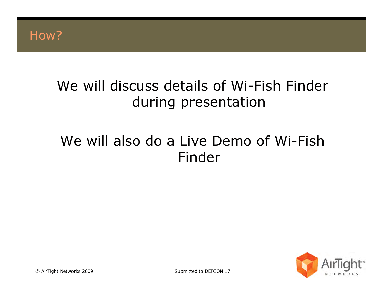

### We will discuss details of Wi-Fish Finder during presentation

### We will also do a Live Demo of Wi-Fish Finder

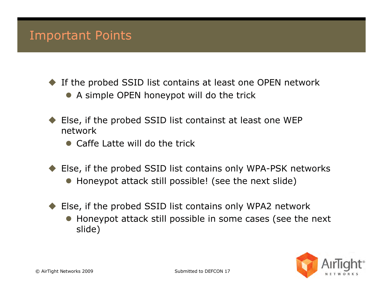#### Important Points

 $\blacklozenge$ If the probed SSID list contains at least one OPEN network

- A simple OPEN honeypot will do the trick
- $\blacklozenge$  Else, if the probed SSID list containst at least one WEP network
	- Caffe Latte will do the trick
- ◆ Else, if the probed SSID list contains only WPA-PSK networks
	- Honeypot attack still possible! (see the next slide)
- Else, if the probed SSID list contains only WPA2 network
	- Honeypot attack still possible in some cases (see the next<br>slide) slide)

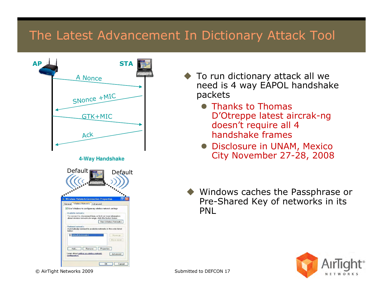#### The Latest Advancement In Dictionary Attack Tool



- ◆ To run dictionary attack all we<br>need is 4 way FAPOL handshak need is 4 way EAPOL handshake packets
	- Thanks to Thomas<br>
	D'Otroppe latest ai D'Otreppe latest aircrak-ng doesn't require all 4 handshake frames
	- Disclosure in UNAM, Mexico City November 27-28, 2008
- $\blacklozenge$  Windows caches the Passphrase or Pre-Shared Key of networks in its PNL

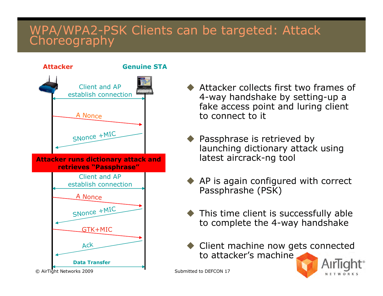# WPA/WPA2-PSK Clients can be targeted: Attack



- Attacker collects first two frames of<br>4-way handshake by setting-up a 4-way handshake by setting-up a fake access point and luring client to connect to it
- $\blacklozenge$  Passphrase is retrieved by launching dictionary attack using latest aircrack-ng tool
- ◆ AP is again configured with correct<br>Passnhrashe (PSK) Passphrashe (PSK)
- $\bullet$  This time client is successfully able<br>to complete the 4-way handshake to complete the 4-way handshake
- Client machine now gets connected<br>to attacker's machine to attacker's machine

NETWORKS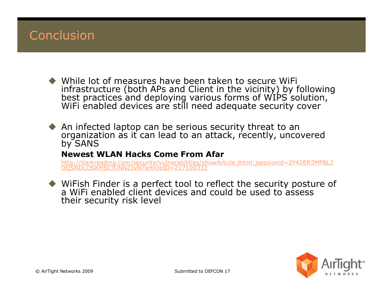#### Conclusion

- While lot of measures have been taken to secure WiFi infrastructure (both APs and Client in the vicinity) by following best practices and deploying various forms of WIPS solution,<br>WiFi enabled devices are still need adequate security cover
- $\blacklozenge$  An infected laptop can be serious security threat to an organization as it can lead to an attack, recently, uncovered by SANS

#### **Newest WLAN Hacks Come From Afar**

 http://darkreading.com/security/vulnerabilities/showArticle.jhtml;jsessionid=2Y42ER3MPBL2OQSNDLOSKHSCJUNN2JVN?articleID=217100332

 WiFish Finder is a perfect tool to reflect the security posture of a WiFi enabled client devices and could be used to assess their security risk level

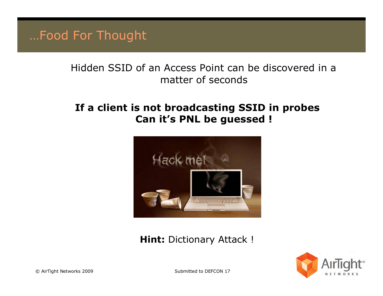…Food For Thought

#### Hidden SSID of an Access Point can be discovered in a matter of seconds

#### **If a client is not broadcasting SSID in probes Can it's PNL be guessed !**



#### **Hint:** Dictionary Attack !